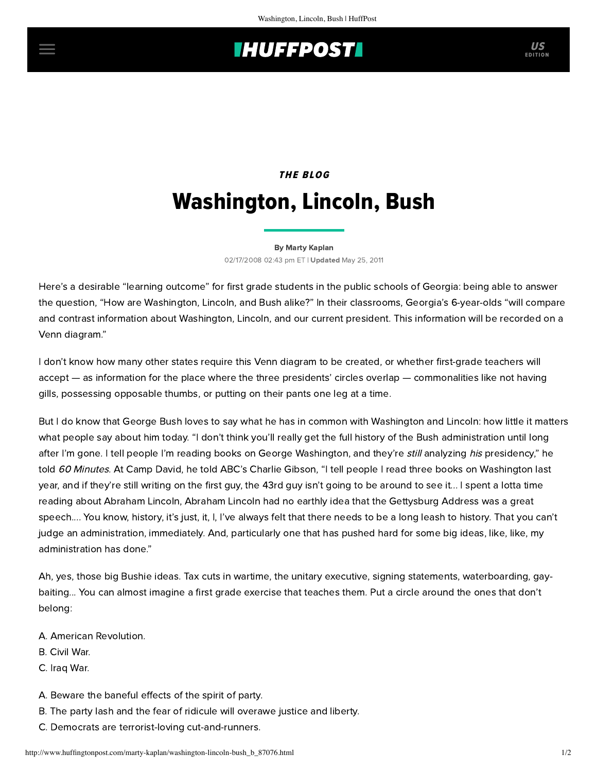## **IHUFFPOSTI** US

## THE BLOG Washington, Lincoln, Bush

[By Marty Kaplan](http://www.huffingtonpost.com/author/marty-kaplan) 02/17/2008 02:43 pm ET | Updated May 25, 2011

Here's a desirable ["learning outcome"](http://www.glc.k12.ga.us/BuilderV03/lptools/lpshared/lpdisplay.asp?Session_Stamp=&LPID=7113) for first grade students in the public schools of Georgia: being able to answer the question, "How are Washington, Lincoln, and Bush alike?" In their classrooms, Georgia's 6-year-olds "will compare and contrast information about Washington, Lincoln, and our current president. This information will be recorded on a Venn diagram."

I don't know how many other states require this Venn diagram to be created, or whether first-grade teachers will accept — as information for the place where the three presidents' circles overlap — commonalities like not having gills, possessing opposable thumbs, or putting on their pants one leg at a time.

But I do know that George Bush loves to say what he has in common with Washington and Lincoln: how little it matters what people say about him today. "I don't think you'll really get the full history of the Bush administration until long after I'm gone. I tell people I'm reading books on George Washington, and they're *still* analyzing his presidency," he told 60 Minutes[. At Camp David, he told ABC's Charlie Gibson, "I tell people I read three books on Washington last](http://www.sptimes.ru/index.php?action_id=2&story_id=20755) year, and if they're still writing on the first guy, the 43rd guy isn't going to be around to see it... I spent a lotta time reading about Abraham Lincoln, Abraham Lincoln had no earthly idea that the Gettysburg Address was a great speech.... You know, history, it's just, it, I, I've always felt that there needs to be a long leash to history. That you can't judge an administration, immediately. And, particularly one that has pushed hard for some big ideas, like, like, my administration has done."

Ah, yes, those big Bushie ideas. Tax cuts in wartime, the unitary executive, signing statements, waterboarding, gaybaiting... You can almost imagine a first grade exercise that teaches them. Put a circle around the ones that don't belong:

- A. American Revolution.
- B. Civil War.
- C. Iraq War.
- A. Beware the baneful effects of the spirit of party.
- B. The party lash and the fear of ridicule will overawe justice and liberty.
- C. Democrats are terrorist-loving cut-and-runners.